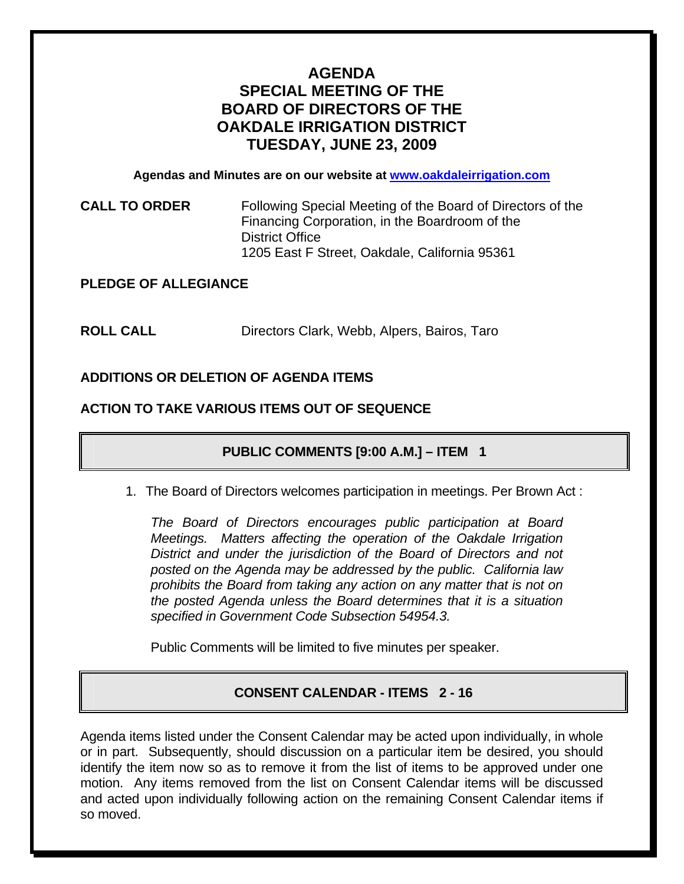# **AGENDA SPECIAL MEETING OF THE BOARD OF DIRECTORS OF THE OAKDALE IRRIGATION DISTRICT TUESDAY, JUNE 23, 2009**

**Agendas and Minutes are on our website at [www.oakdaleirrigation.com](http://www.oakdaleirrigation.com/)**

### **CALL TO ORDER** Following Special Meeting of the Board of Directors of the Financing Corporation, in the Boardroom of the District Office 1205 East F Street, Oakdale, California 95361

### **PLEDGE OF ALLEGIANCE**

**ROLL CALL** Directors Clark, Webb, Alpers, Bairos, Taro

### **ADDITIONS OR DELETION OF AGENDA ITEMS**

### **ACTION TO TAKE VARIOUS ITEMS OUT OF SEQUENCE**

## **PUBLIC COMMENTS [9:00 A.M.] – ITEM 1**

1. The Board of Directors welcomes participation in meetings. Per Brown Act :

*The Board of Directors encourages public participation at Board Meetings. Matters affecting the operation of the Oakdale Irrigation District and under the jurisdiction of the Board of Directors and not posted on the Agenda may be addressed by the public. California law prohibits the Board from taking any action on any matter that is not on the posted Agenda unless the Board determines that it is a situation specified in Government Code Subsection 54954.3.*

Public Comments will be limited to five minutes per speaker.

### **CONSENT CALENDAR - ITEMS 2 - 16**

Agenda items listed under the Consent Calendar may be acted upon individually, in whole or in part. Subsequently, should discussion on a particular item be desired, you should identify the item now so as to remove it from the list of items to be approved under one motion. Any items removed from the list on Consent Calendar items will be discussed and acted upon individually following action on the remaining Consent Calendar items if so moved.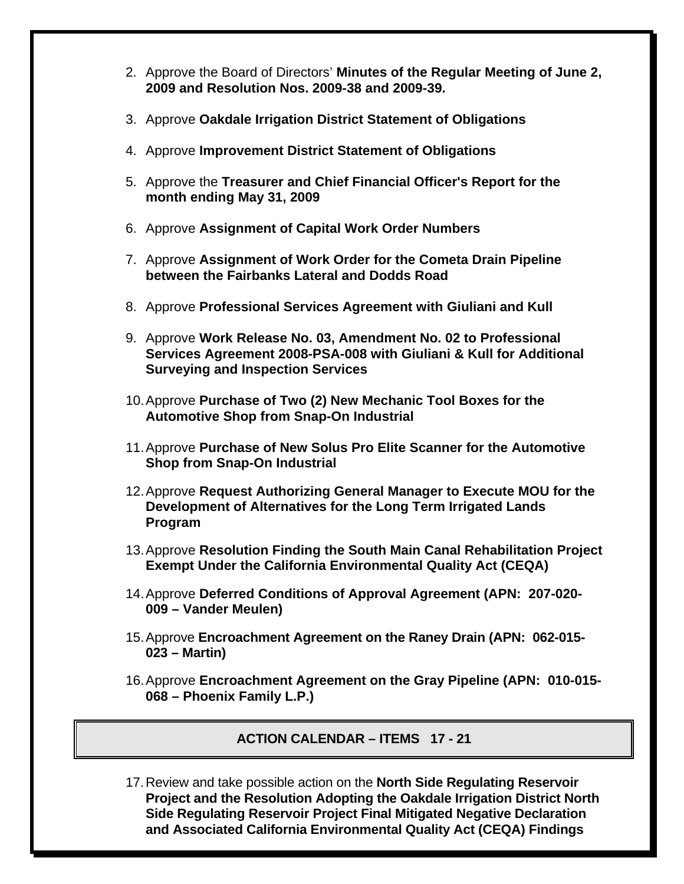- 2. Approve the Board of Directors' **Minutes of the Regular Meeting of June 2, 2009 and Resolution Nos. 2009-38 and 2009-39.**
- 3. Approve **Oakdale Irrigation District Statement of Obligations**
- 4. Approve **Improvement District Statement of Obligations**
- 5. Approve the **Treasurer and Chief Financial Officer's Report for the month ending May 31, 2009**
- 6. Approve **Assignment of Capital Work Order Numbers**
- 7. Approve **Assignment of Work Order for the Cometa Drain Pipeline between the Fairbanks Lateral and Dodds Road**
- 8. Approve **Professional Services Agreement with Giuliani and Kull**
- 9. Approve **Work Release No. 03, Amendment No. 02 to Professional Services Agreement 2008-PSA-008 with Giuliani & Kull for Additional Surveying and Inspection Services**
- 10. Approve **Purchase of Two (2) New Mechanic Tool Boxes for the Automotive Shop from Snap-On Industrial**
- 11. Approve **Purchase of New Solus Pro Elite Scanner for the Automotive Shop from Snap-On Industrial**
- 12. Approve **Request Authorizing General Manager to Execute MOU for the Development of Alternatives for the Long Term Irrigated Lands Program**
- 13. Approve **Resolution Finding the South Main Canal Rehabilitation Project Exempt Under the California Environmental Quality Act (CEQA)**
- 14. Approve **Deferred Conditions of Approval Agreement (APN: 207-020- 009 – Vander Meulen)**
- 15. Approve **Encroachment Agreement on the Raney Drain (APN: 062-015- 023 – Martin)**
- 16. Approve **Encroachment Agreement on the Gray Pipeline (APN: 010-015- 068 – Phoenix Family L.P.)**

**ACTION CALENDAR – ITEMS 17 - 21** 

17. Review and take possible action on the **North Side Regulating Reservoir Project and the Resolution Adopting the Oakdale Irrigation District North Side Regulating Reservoir Project Final Mitigated Negative Declaration and Associated California Environmental Quality Act (CEQA) Findings**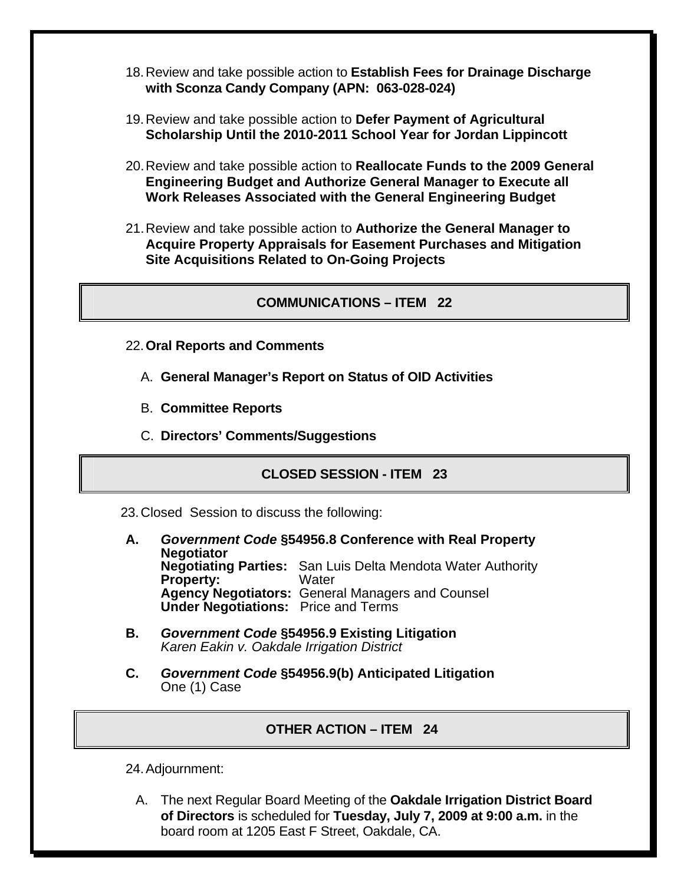- 18. Review and take possible action to **Establish Fees for Drainage Discharge with Sconza Candy Company (APN: 063-028-024)**
- 19. Review and take possible action to **Defer Payment of Agricultural Scholarship Until the 2010-2011 School Year for Jordan Lippincott**
- 20. Review and take possible action to **Reallocate Funds to the 2009 General Engineering Budget and Authorize General Manager to Execute all Work Releases Associated with the General Engineering Budget**
- 21. Review and take possible action to **Authorize the General Manager to Acquire Property Appraisals for Easement Purchases and Mitigation Site Acquisitions Related to On-Going Projects**

### **COMMUNICATIONS – ITEM 22**

- 22.**Oral Reports and Comments**
	- A. **General Manager's Report on Status of OID Activities**
	- B. **Committee Reports**
	- C. **Directors' Comments/Suggestions**

### **CLOSED SESSION - ITEM 23**

23. Closed Session to discuss the following:

- **A.** *Government Code* **§54956.8 Conference with Real Property Negotiator Negotiating Parties:** San Luis Delta Mendota Water Authority **Property: Agency Negotiators:** General Managers and Counsel  **Under Negotiations:** Price and Terms
- **B.** *Government Code* **§54956.9 Existing Litigation**  *Karen Eakin v. Oakdale Irrigation District*
- **C.** *Government Code* **§54956.9(b) Anticipated Litigation**  One (1) Case

### **OTHER ACTION – ITEM 24**

24. Adjournment:

A. The next Regular Board Meeting of the **Oakdale Irrigation District Board of Directors** is scheduled for **Tuesday, July 7, 2009 at 9:00 a.m.** in the board room at 1205 East F Street, Oakdale, CA.